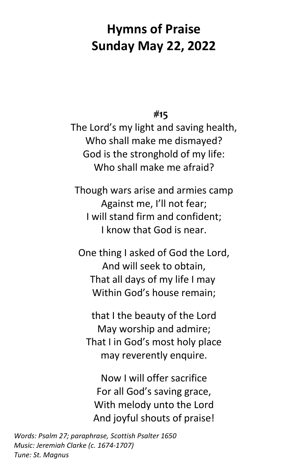## **Hymns of Praise Sunday May 22, 2022**

**#15**

The Lord's my light and saving health, Who shall make me dismayed? God is the stronghold of my life: Who shall make me afraid?

Though wars arise and armies camp Against me, I'll not fear; I will stand firm and confident; I know that God is near.

One thing I asked of God the Lord, And will seek to obtain, That all days of my life I may Within God's house remain;

that I the beauty of the Lord May worship and admire; That I in God's most holy place may reverently enquire.

Now I will offer sacrifice For all God's saving grace, With melody unto the Lord And joyful shouts of praise!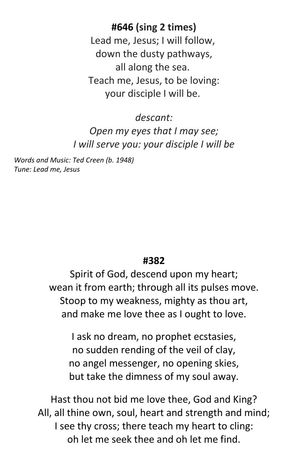**#646 (sing 2 times)** Lead me, Jesus; I will follow, down the dusty pathways, all along the sea. Teach me, Jesus, to be loving: your disciple I will be.

*descant: Open my eyes that I may see; I will serve you: your disciple I will be*

*Words and Music: Ted Creen (b. 1948) Tune: Lead me, Jesus*

## **#382**

Spirit of God, descend upon my heart; wean it from earth; through all its pulses move. Stoop to my weakness, mighty as thou art, and make me love thee as I ought to love.

I ask no dream, no prophet ecstasies, no sudden rending of the veil of clay, no angel messenger, no opening skies, but take the dimness of my soul away.

Hast thou not bid me love thee, God and King? All, all thine own, soul, heart and strength and mind; I see thy cross; there teach my heart to cling: oh let me seek thee and oh let me find.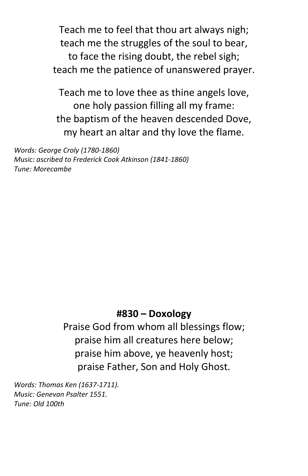Teach me to feel that thou art always nigh; teach me the struggles of the soul to bear, to face the rising doubt, the rebel sigh; teach me the patience of unanswered prayer.

Teach me to love thee as thine angels love, one holy passion filling all my frame: the baptism of the heaven descended Dove, my heart an altar and thy love the flame.

*Words: George Croly (1780-1860) Music: ascribed to Frederick Cook Atkinson (1841-1860) Tune: Morecambe*

## **#830 – Doxology**

Praise God from whom all blessings flow; praise him all creatures here below; praise him above, ye heavenly host; praise Father, Son and Holy Ghost.

*Words: Thomas Ken (1637-1711). Music: Genevan Psalter 1551. Tune: Old 100th*